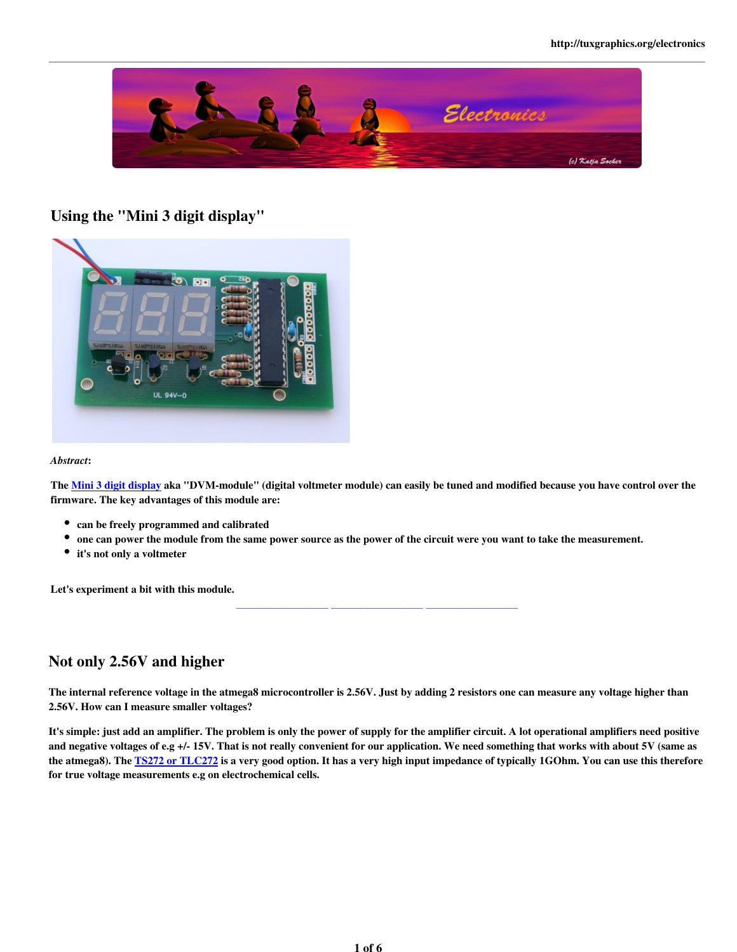

### Using the "Mini 3 digit display"



#### *Abstract*:

The Mini 3 digit display aka "DVM-module" (digital voltmeter module) can easily be tuned and modified because you have control over the firmware. The key advantages of this module are:

\_\_\_\_\_\_\_\_\_\_\_\_\_\_\_\_\_ \_\_\_\_\_\_\_\_\_\_\_\_\_\_\_\_\_ \_\_\_\_\_\_\_\_\_\_\_\_\_\_\_\_\_

- can be freely programmed and calibrated
- one can power the module from the same power source as the power of the circuit were you want to take the measurement.
- it's not only a voltmeter

Let's experiment a bit with this module.

# Not only 2.56V and higher

The internal reference voltage in the atmega8 microcontroller is 2.56V. Just by adding 2 resistors one can measure any voltage higher than 2.56V. How can I measure smaller voltages?

It's simple: just add an amplifier. The problem is only the power of supply for the amplifier circuit. A lot operational amplifiers need positive and negative voltages of e.g +/- 15V. That is not really convenient for our application. We need something that works with about 5V (same as the atmega8). The TS272 or TLC272 is a very good option. It has a very high input impedance of typically 1GOhm. You can use this therefore for true voltage measurements e.g on electrochemical cells.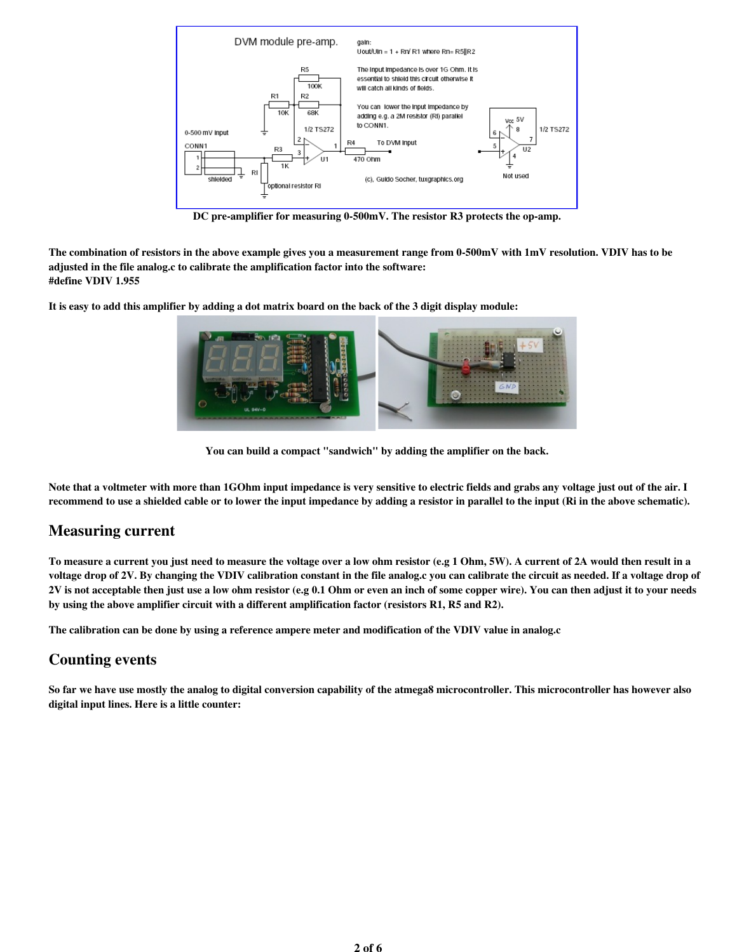

DC pre-amplifier for measuring 0-500mV. The resistor R3 protects the op-amp.

The combination of resistors in the above example gives you a measurement range from 0-500mV with 1mV resolution. VDIV has to be adjusted in the file analog.c to calibrate the amplification factor into the software: #define VDIV 1.955

It is easy to add this amplifier by adding a dot matrix board on the back of the 3 digit display module:



You can build a compact "sandwich" by adding the amplifier on the back.

Note that a voltmeter with more than 1GOhm input impedance is very sensitive to electric fields and grabs any voltage just out of the air. I recommend to use a shielded cable or to lower the input impedance by adding a resistor in parallel to the input (Ri in the above schematic).

#### Measuring current

To measure a current you just need to measure the voltage over a low ohm resistor (e.g 1 Ohm, 5W). A current of 2A would then result in a voltage drop of 2V. By changing the VDIV calibration constant in the file analog.c you can calibrate the circuit as needed. If a voltage drop of 2V is not acceptable then just use a low ohm resistor (e.g 0.1 Ohm or even an inch of some copper wire). You can then adjust it to your needs by using the above amplifier circuit with a different amplification factor (resistors R1, R5 and R2).

The calibration can be done by using a reference ampere meter and modification of the VDIV value in analog.c

#### Counting events

So far we have use mostly the analog to digital conversion capability of the atmega8 microcontroller. This microcontroller has however also digital input lines. Here is a little counter: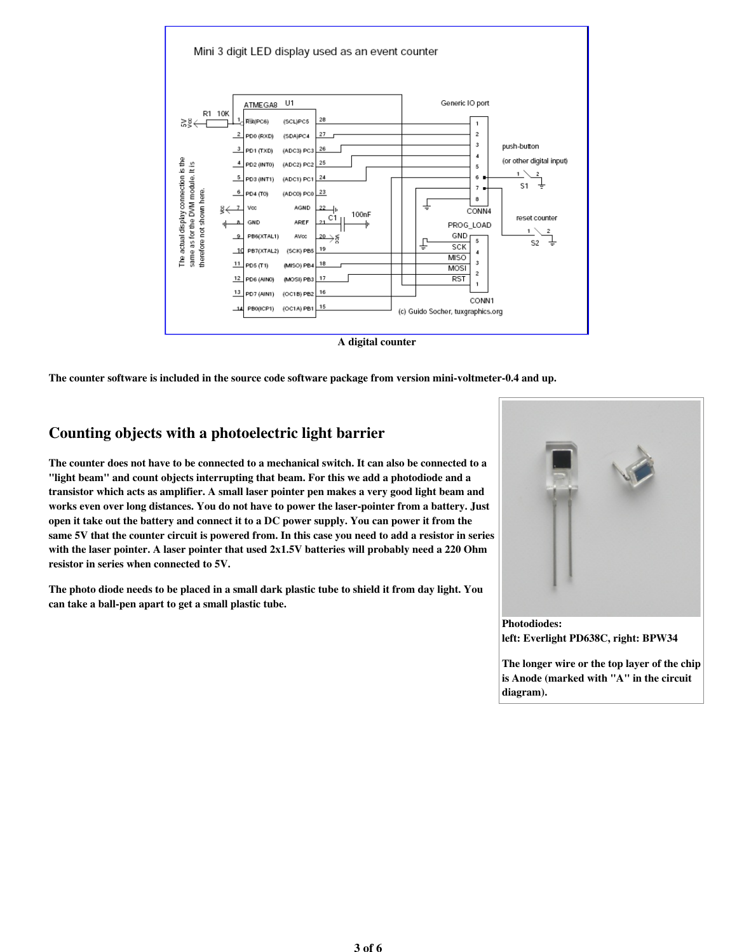

A digital counter

The counter software is included in the source code software package from version mini-voltmeter-0.4 and up.

#### Counting objects with a photoelectric light barrier

The counter does not have to be connected to a mechanical switch. It can also be connected to a "light beam" and count objects interrupting that beam. For this we add a photodiode and a transistor which acts as amplifier. A small laser pointer pen makes a very good light beam and works even over long distances. You do not have to power the laser-pointer from a battery. Just open it take out the battery and connect it to a DC power supply. You can power it from the same 5V that the counter circuit is powered from. In this case you need to add a resistor in series with the laser pointer. A laser pointer that used 2x1.5V batteries will probably need a 220 Ohm resistor in series when connected to 5V.

The photo diode needs to be placed in a small dark plastic tube to shield it from day light. You can take a ball-pen apart to get a small plastic tube.



Photodiodes: left: Everlight PD638C, right: BPW34

The longer wire or the top layer of the chip is Anode (marked with "A" in the circuit diagram).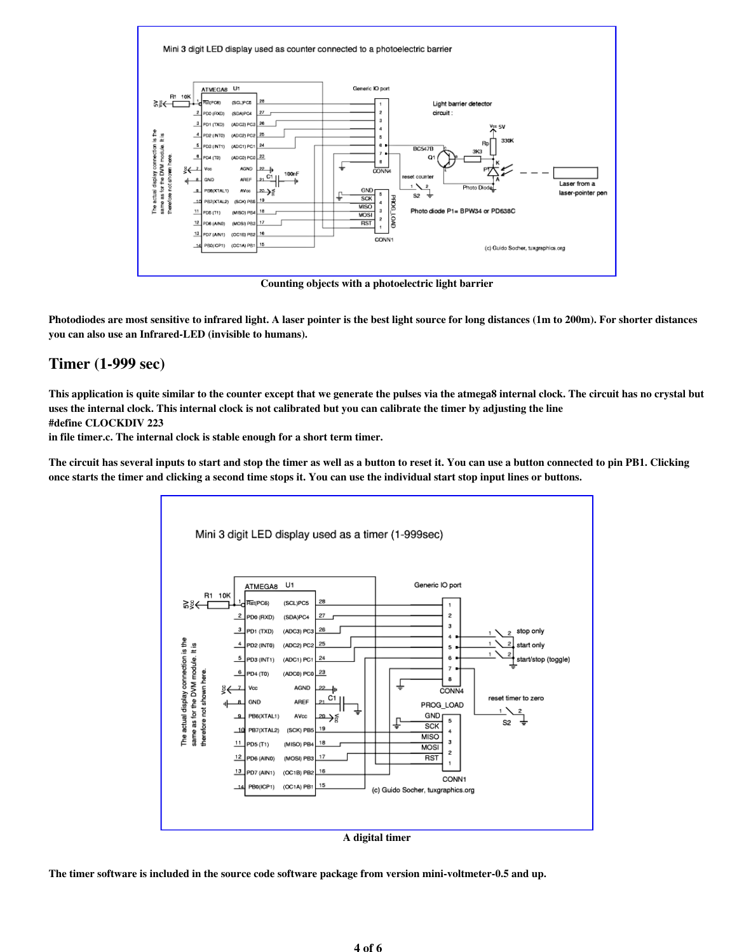

Counting objects with a photoelectric light barrier

Photodiodes are most sensitive to infrared light. A laser pointer is the best light source for long distances (1m to 200m). For shorter distances you can also use an Infrared-LED (invisible to humans).

### Timer (1-999 sec)

This application is quite similar to the counter except that we generate the pulses via the atmega8 internal clock. The circuit has no crystal but uses the internal clock. This internal clock is not calibrated but you can calibrate the timer by adjusting the line #define CLOCKDIV 223

in file timer.c. The internal clock is stable enough for a short term timer.

The circuit has several inputs to start and stop the timer as well as a button to reset it. You can use a button connected to pin PB1. Clicking once starts the timer and clicking a second time stops it. You can use the individual start stop input lines or buttons.



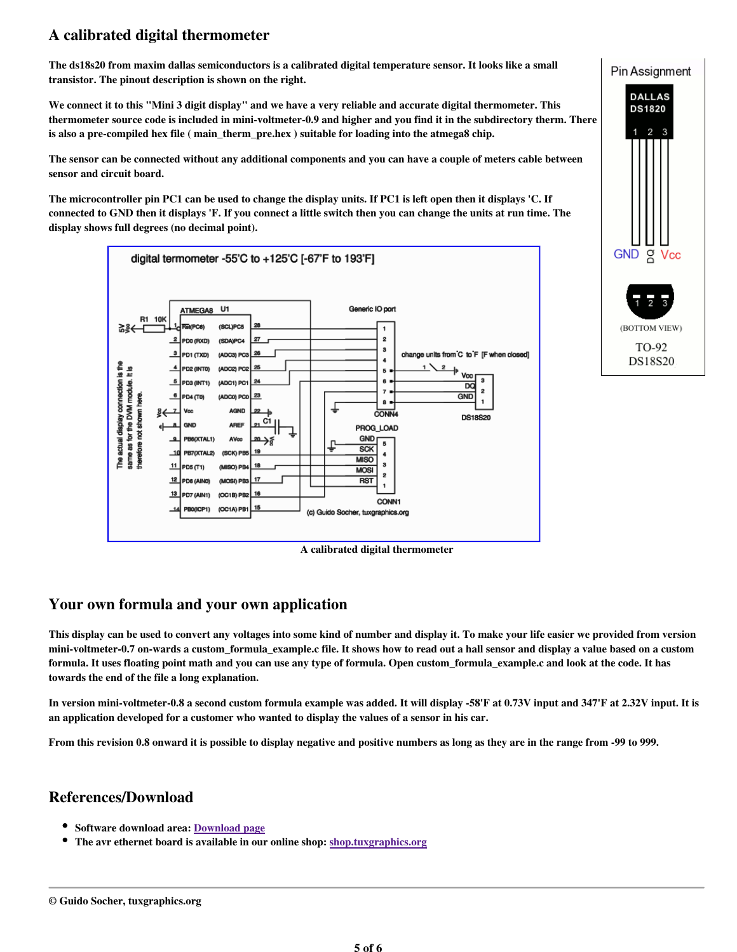# A calibrated digital thermometer

The ds18s20 from maxim dallas semiconductors is a calibrated digital temperature sensor. It looks like a small transistor. The pinout description is shown on the right.

We connect it to this "Mini 3 digit display" and we have a very reliable and accurate digital thermometer. This thermometer source code is included in mini-voltmeter-0.9 and higher and you find it in the subdirectory therm. There is also a pre-compiled hex file ( main\_therm\_pre.hex ) suitable for loading into the atmega8 chip.

The sensor can be connected without any additional components and you can have a couple of meters cable between sensor and circuit board.

The microcontroller pin PC1 can be used to change the display units. If PC1 is left open then it displays 'C. If connected to GND then it displays 'F. If you connect a little switch then you can change the units at run time. The display shows full degrees (no decimal point).





# Your own formula and your own application

This display can be used to convert any voltages into some kind of number and display it. To make your life easier we provided from version mini-voltmeter-0.7 on-wards a custom\_formula\_example.c file. It shows how to read out a hall sensor and display a value based on a custom formula. It uses floating point math and you can use any type of formula. Open custom formula example.c and look at the code. It has towards the end of the file a long explanation.

In version mini-voltmeter-0.8 a second custom formula example was added. It will display -58'F at 0.73V input and 347'F at 2.32V input. It is an application developed for a customer who wanted to display the values of a sensor in his car.

From this revision 0.8 onward it is possible to display negative and positive numbers as long as they are in the range from -99 to 999.

## References/Download

- Software download area: Download page
- The avr ethernet board is available in our online shop: shop.tuxgraphics.org